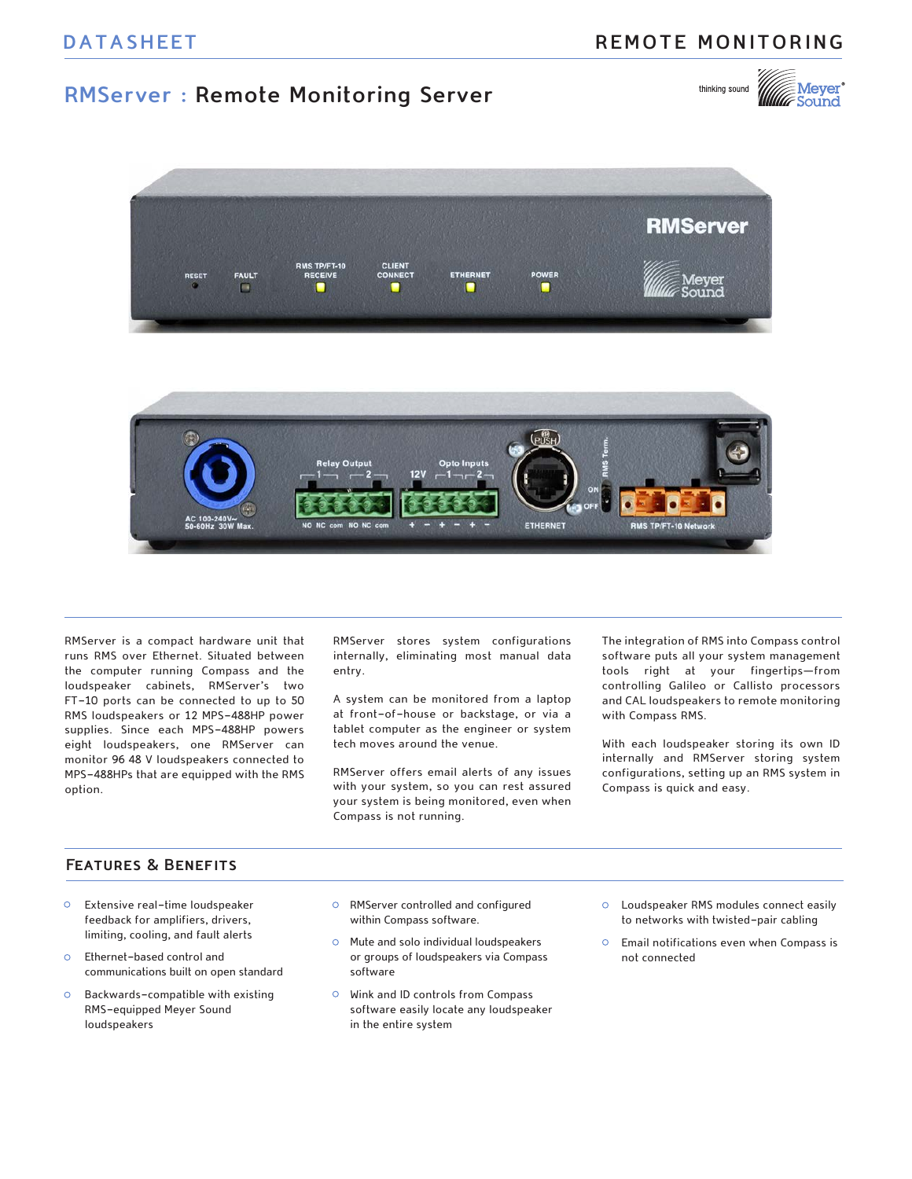# **REMOTE MONITORING**

# **RMServer : Remote Monitoring Server**





RMServer is a compact hardware unit that runs RMS over Ethernet. Situated between the computer running Compass and the loudspeaker cabinets, RMServer's two FT-10 ports can be connected to up to 50 RMS loudspeakers or 12 MPS-488HP power supplies. Since each MPS-488HP powers eight loudspeakers, one RMServer can monitor 96 48 V loudspeakers connected to MPS-488HPs that are equipped with the RMS option.

RMServer stores system configurations internally, eliminating most manual data entry.

A system can be monitored from a laptop at front-of-house or backstage, or via a tablet computer as the engineer or system tech moves around the venue.

RMServer offers email alerts of any issues with your system, so you can rest assured your system is being monitored, even when Compass is not running.

The integration of RMS into Compass control software puts all your system management tools right at your fingertips—from controlling Galileo or Callisto processors and CAL loudspeakers to remote monitoring with Compass RMS.

With each loudspeaker storing its own ID internally and RMServer storing system configurations, setting up an RMS system in Compass is quick and easy.

## **Features & Benefits**

- Extensive real-time loudspeaker feedback for amplifiers, drivers, limiting, cooling, and fault alerts
- $\circ$ Ethernet-based control and communications built on open standard
- Backwards-compatible with existing  $\circ$ RMS-equipped Meyer Sound loudspeakers
- RMServer controlled and configured within Compass software.
- $\circ$ Mute and solo individual loudspeakers or groups of loudspeakers via Compass software
- Wink and ID controls from Compass software easily locate any loudspeaker in the entire system
- Loudspeaker RMS modules connect easily to networks with twisted-pair cabling
- $\circ$ Email notifications even when Compass is not connected